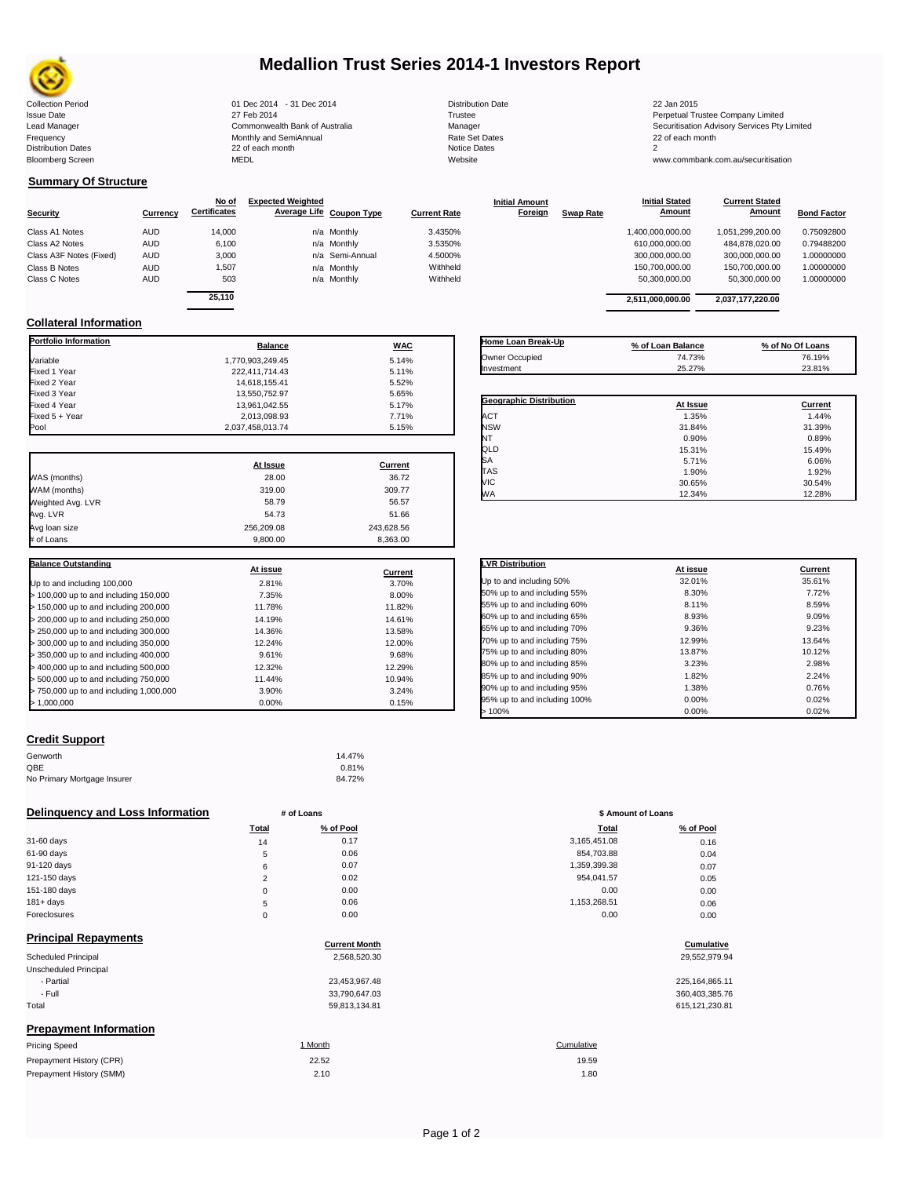

# **Medallion Trust Series 2014-1 Investors Report**

| <b>Collection Period</b>  | 01 Dec 2014 - 31 Dec 2014      | <b>Distribution Date</b> | 22 Jan 2015                             |
|---------------------------|--------------------------------|--------------------------|-----------------------------------------|
| <b>Issue Date</b>         | 27 Feb 2014                    | Trustee                  | Perpetual Trustee Company Limited       |
| Lead Manager              | Commonwealth Bank of Australia | Manager                  | Securitisation Advisory Services Pty Li |
| Frequency                 | Monthly and SemiAnnual         | <b>Rate Set Dates</b>    | 22 of each month                        |
| <b>Distribution Dates</b> | 22 of each month               | Notice Dates             |                                         |
| <b>Bloomberg Screen</b>   | <b>MEDL</b>                    | Website                  | www.commbank.com.au/securitisation      |

## **Summary Of Structure**

|                         |            | No of               | <b>Expected Weighted</b> |                     | <b>Initial Amount</b> |                  | <b>Initial Stated</b> | <b>Current Stated</b> |                    |
|-------------------------|------------|---------------------|--------------------------|---------------------|-----------------------|------------------|-----------------------|-----------------------|--------------------|
| <b>Security</b>         | Currency   | <b>Certificates</b> | Average Life Coupon Type | <b>Current Rate</b> | Foreign               | <b>Swap Rate</b> | Amount                | Amount                | <b>Bond Factor</b> |
| Class A1 Notes          | AUD        | 14,000              | n/a Monthly              | 3.4350%             |                       |                  | 1.400.000.000.00      | 1,051,299,200.00      | 0.75092800         |
| Class A2 Notes          | AUD        | 6,100               | n/a Monthly              | 3.5350%             |                       |                  | 610,000,000.00        | 484,878,020.00        | 0.79488200         |
| Class A3F Notes (Fixed) | AUD        | 3,000               | n/a Semi-Annual          | 4.5000%             |                       |                  | 300.000.000.00        | 300.000.000.00        | 1.00000000         |
| Class B Notes           | <b>AUD</b> | 1,507               | n/a Monthly              | Withheld            |                       |                  | 150.700.000.00        | 150.700.000.00        | 1.00000000         |
| Class C Notes           | <b>AUD</b> | 503                 | n/a Monthly              | Withheld            |                       |                  | 50,300,000.00         | 50,300,000.00         | 1.00000000         |
|                         |            | -- - - -            |                          |                     |                       |                  |                       |                       |                    |

| Currency | No of<br><b>Certificates</b> | <b>Expected Weighted</b> | Average Life Coupon Type | <b>Current Rate</b> | <b>Initial Amount</b><br>Foreign | <b>Swap Rate</b> | <b>Initial Stated</b><br>Amount | <b>Current Stated</b><br><b>Amount</b> | <b>Bond Factor</b> |
|----------|------------------------------|--------------------------|--------------------------|---------------------|----------------------------------|------------------|---------------------------------|----------------------------------------|--------------------|
| AUD      | 14,000                       |                          | n/a Monthly              | 3.4350%             |                                  |                  | 1,400,000,000.00                | 1,051,299,200.00                       | 0.75092800         |
| AUD      | 6.100                        |                          | n/a Monthly              | 3.5350%             |                                  |                  | 610.000.000.00                  | 484.878.020.00                         | 0.79488200         |
| AUD      | 3.000                        |                          | n/a Semi-Annual          | 4.5000%             |                                  |                  | 300,000,000.00                  | 300,000,000.00                         | 1.00000000         |
| AUD      | .507                         |                          | n/a Monthly              | Withheld            |                                  |                  | 150.700.000.00                  | 150.700.000.00                         | 1.00000000         |
| AUD      | 503                          |                          | n/a Monthly              | Withheld            |                                  |                  | 50.300.000.00                   | 50.300.000.00                          | 1.00000000         |
|          | 25.110                       |                          |                          |                     |                                  |                  | 2,511,000,000.00                | 2,037,177,220.00                       |                    |

**Initial Stated** 

## **Collateral Information**

| <b>Portfolio Information</b>            | <b>Balance</b>   | <b>WAC</b> |
|-----------------------------------------|------------------|------------|
| Variable                                | 1.770.903.249.45 | 5.14%      |
| Fixed 1 Year                            | 222,411,714.43   | 5.11%      |
| Fixed 2 Year                            | 14,618,155.41    | 5.52%      |
| Fixed 3 Year                            | 13,550,752.97    | 5.65%      |
| Fixed 4 Year                            | 13,961,042.55    | 5.17%      |
| Fixed 5 + Year                          | 2,013,098.93     | 7.71%      |
| Pool                                    | 2,037,458,013.74 | 5.15%      |
|                                         |                  |            |
|                                         | At Issue         | Current    |
| WAS (months)                            | 28.00            | 36.72      |
| WAM (months)                            | 319.00           | 309.77     |
| Weighted Avg. LVR                       | 58.79            | 56.57      |
| Avg. LVR                                | 54.73            | 51.66      |
| Avg loan size                           | 256,209.08       | 243,628.56 |
| # of Loans                              | 9,800.00         | 8,363.00   |
| <b>Balance Outstanding</b>              |                  |            |
|                                         | At issue         | Current    |
| Up to and including 100,000             | 2.81%            | 3.70%      |
| > 100,000 up to and including 150,000   | 7.35%            | 8.00%      |
| > 150,000 up to and including 200,000   | 11.78%           | 11.82%     |
| > 200,000 up to and including 250,000   | 14.19%           | 14.61%     |
| > 250,000 up to and including 300,000   | 14.36%           | 13.58%     |
| > 300,000 up to and including 350,000   | 12.24%           | 12.00%     |
| > 350,000 up to and including 400,000   | 9.61%            | 9.68%      |
| > 400,000 up to and including 500,000   | 12.32%           | 12.29%     |
| > 500,000 up to and including 750,000   | 11.44%           | 10.94%     |
| > 750,000 up to and including 1,000,000 | 3.90%            | 3.24%      |
| >1,000,000                              | 0.00%            | 0.15%      |

| Home Loan Break-Up             | % of Loan Balance | % of No Of Loans |
|--------------------------------|-------------------|------------------|
| Owner Occupied                 | 74.73%            | 76.19%           |
| Investment                     | 25.27%            | 23.81%           |
|                                |                   |                  |
| <b>Geographic Distribution</b> | At Issue          | Current          |
| <b>ACT</b>                     | 1.35%             | 1.44%            |
| <b>NSW</b>                     | 31.84%            | 31.39%           |
| NT                             | 0.90%             | 0.89%            |
| QLD                            | 15.31%            | 15.49%           |
| <b>SA</b>                      | 5.71%             | 6.06%            |
| <b>TAS</b>                     | 1.90%             | 1.92%            |
| VIC                            | 30.65%            | 30.54%           |
| <b>WA</b>                      | 12.34%            | 12.28%           |

| <b>LVR Distribution</b>      | At issue | Current |
|------------------------------|----------|---------|
| Up to and including 50%      | 32.01%   | 35.61%  |
| 50% up to and including 55%  | 8.30%    | 7.72%   |
| 55% up to and including 60%  | 8.11%    | 8.59%   |
| 60% up to and including 65%  | 8.93%    | 9.09%   |
| 65% up to and including 70%  | 9.36%    | 9.23%   |
| 70% up to and including 75%  | 12.99%   | 13.64%  |
| 75% up to and including 80%  | 13.87%   | 10.12%  |
| 80% up to and including 85%  | 3.23%    | 2.98%   |
| 85% up to and including 90%  | 1.82%    | 2.24%   |
| 90% up to and including 95%  | 1.38%    | 0.76%   |
| 95% up to and including 100% | 0.00%    | 0.02%   |
| >100%                        | 0.00%    | 0.02%   |

## **Credit Support**

Prepayment History (SMM)

| Genworth                    | 14.47% |
|-----------------------------|--------|
| OBE                         | 0.81%  |
| No Primary Mortgage Insurer | 84.72% |

## **Delinquency and Loss Information # of Loans # of Loans \$ Amount of Loans**

|              | Total    | % of Pool | <b>Total</b> | % of Pool |
|--------------|----------|-----------|--------------|-----------|
| 31-60 days   | 14       | 0.17      | 3,165,451.08 | 0.16      |
| 61-90 days   | 5        | 0.06      | 854,703.88   | 0.04      |
| 91-120 days  | 6        | 0.07      | 1,359,399.38 | 0.07      |
| 121-150 days | $\sim$   | 0.02      | 954,041.57   | 0.05      |
| 151-180 days | 0        | 0.00      | 0.00         | 0.00      |
| $181 + days$ | 5        | 0.06      | 1,153,268.51 | 0.06      |
| Foreclosures | $\Omega$ | 0.00      | 0.00         | 0.00      |
|              |          |           |              |           |

| <b>Principal Repayments</b>   |                      |                   |
|-------------------------------|----------------------|-------------------|
|                               | <b>Current Month</b> | Cumulative        |
| Scheduled Principal           | 2,568,520.30         | 29,552,979.94     |
| Unscheduled Principal         |                      |                   |
| - Partial                     | 23,453,967.48        | 225, 164, 865. 11 |
| - Full                        | 33,790,647.03        | 360,403,385.76    |
| Total                         | 59,813,134.81        | 615, 121, 230.81  |
| <b>Prepayment Information</b> |                      |                   |
| <b>Pricing Speed</b>          | 1 Month              | Cumulative        |
| Prepayment History (CPR)      | 22.52                | 19.59             |

| $\pi$ or Loans |           |              | <b>JAILVUIK VI LUGHS</b> |
|----------------|-----------|--------------|--------------------------|
| Total          | % of Pool | <b>Total</b> | % of Pool                |
| 14             | 0.17      | 3,165,451.08 | 0.16                     |
| 5              | 0.06      | 854,703.88   | 0.04                     |
| 6              | 0.07      | 1,359,399.38 | 0.07                     |
| $\overline{2}$ | 0.02      | 954,041.57   | 0.05                     |
| 0              | 0.00      | 0.00         | 0.00                     |
| 5              | 0.06      | 1,153,268.51 | 0.06                     |
| 0              | 0.00      | 0.00         | 0.00                     |
|                |           |              |                          |

# **Cumulative Cumulative**

| 225,164,865.11 |
|----------------|
| 360,403,385.76 |
| 615.121.230.81 |

## $2.10$  and  $2.10$ 19.59